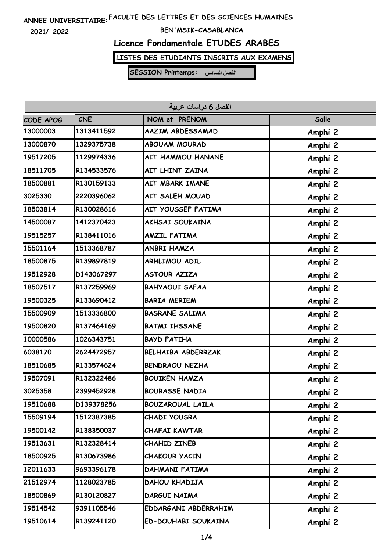**2021/ 2022**

#### **BEN'MSIK-CASABLANCA**

# **Licence Fondamentale ETUDES ARABES**

**LISTES DES ETUDIANTS INSCRITS AUX EXAMENS**

| الفصل 6 در اسات عربية |            |                           |         |  |  |
|-----------------------|------------|---------------------------|---------|--|--|
| CODE APOG             | <b>CNE</b> | NOM et PRENOM             | Salle   |  |  |
| 13000003              | 1313411592 | AAZIM ABDESSAMAD          | Amphi 2 |  |  |
| 13000870              | 1329375738 | <b>ABOUAM MOURAD</b>      | Amphi 2 |  |  |
| 19517205              | 1129974336 | <b>AIT HAMMOU HANANE</b>  | Amphi 2 |  |  |
| 18511705              | R134533576 | AIT LHINT ZAINA           | Amphi 2 |  |  |
| 18500881              | R130159133 | AIT MBARK IMANE           | Amphi 2 |  |  |
| 3025330               | 2220396062 | AIT SALEH MOUAD           | Amphi 2 |  |  |
| 18503814              | R130028616 | AIT YOUSSEF FATIMA        | Amphi 2 |  |  |
| 14500087              | 1412370423 | <b>AKHSAI SOUKAINA</b>    | Amphi 2 |  |  |
| 19515257              | R138411016 | <b>AMZIL FATIMA</b>       | Amphi 2 |  |  |
| 15501164              | 1513368787 | ANBRI HAMZA               | Amphi 2 |  |  |
| 18500875              | R139897819 | <b>ARHLIMOU ADIL</b>      | Amphi 2 |  |  |
| 19512928              | D143067297 | <b>ASTOUR AZIZA</b>       | Amphi 2 |  |  |
| 18507517              | R137259969 | <b>BAHYAOUI SAFAA</b>     | Amphi 2 |  |  |
| 19500325              | R133690412 | <b>BARIA MERIEM</b>       | Amphi 2 |  |  |
| 15500909              | 1513336800 | <b>BASRANE SALIMA</b>     | Amphi 2 |  |  |
| 19500820              | R137464169 | <b>BATMI IHSSANE</b>      | Amphi 2 |  |  |
| 10000586              | 1026343751 | <b>BAYD FATIHA</b>        | Amphi 2 |  |  |
| 6038170               | 2624472957 | <b>BELHAIBA ABDERRZAK</b> | Amphi 2 |  |  |
| 18510685              | R133574624 | <b>BENDRAOU NEZHA</b>     | Amphi 2 |  |  |
| 19507091              | R132322486 | <b>BOUIKEN HAMZA</b>      | Amphi 2 |  |  |
| 3025358               | 2399452928 | <b>BOURASSE NADIA</b>     | Amphi 2 |  |  |
| 19510688              | D139378256 | <b>BOUZAROUAL LAILA</b>   | Amphi 2 |  |  |
| 15509194              | 1512387385 | CHADI YOUSRA              | Amphi 2 |  |  |
| 19500142              | R138350037 | CHAFAI KAWTAR             | Amphi 2 |  |  |
| 19513631              | R132328414 | CHAHID ZINEB              | Amphi 2 |  |  |
| 18500925              | R130673986 | CHAKOUR YACIN             | Amphi 2 |  |  |
| 12011633              | 9693396178 | DAHMANI FATIMA            | Amphi 2 |  |  |
| 21512974              | 1128023785 | DAHOU KHADIJA             | Amphi 2 |  |  |
| 18500869              | R130120827 | DARGUI NAIMA              | Amphi 2 |  |  |
| 19514542              | 9391105546 | EDDARGANI ABDERRAHIM      | Amphi 2 |  |  |
| 19510614              | R139241120 | ED-DOUHABI SOUKAINA       | Amphi 2 |  |  |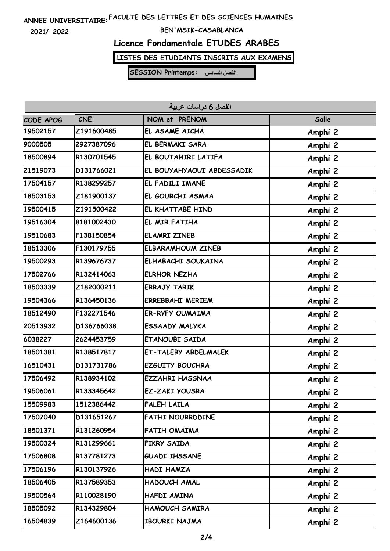**2021/ 2022**

#### **BEN'MSIK-CASABLANCA**

# **Licence Fondamentale ETUDES ARABES**

**LISTES DES ETUDIANTS INSCRITS AUX EXAMENS**

| الفصل 6 دراسات عربية |            |                           |         |  |  |
|----------------------|------------|---------------------------|---------|--|--|
| CODE APOG            | <b>CNE</b> | NOM et PRENOM             | Salle   |  |  |
| 19502157             | Z191600485 | EL ASAME AICHA            | Amphi 2 |  |  |
| 9000505              | 2927387096 | EL BERMAKI SARA           | Amphi 2 |  |  |
| 18500894             | R130701545 | EL BOUTAHIRI LATIFA       | Amphi 2 |  |  |
| 21519073             | D131766021 | EL BOUYAHYAOUI ABDESSADIK | Amphi 2 |  |  |
| 17504157             | R138299257 | EL FADILI IMANE           | Amphi 2 |  |  |
| 18503153             | Z181900137 | EL GOURCHI ASMAA          | Amphi 2 |  |  |
| 19500415             | Z191500422 | EL KHATTABE HIND          | Amphi 2 |  |  |
| 19516304             | 8181002430 | EL MIR FATIHA             | Amphi 2 |  |  |
| 19510683             | F138150854 | <b>ELAMRI ZINEB</b>       | Amphi 2 |  |  |
| 18513306             | F130179755 | <b>ELBARAMHOUM ZINEB</b>  | Amphi 2 |  |  |
| 19500293             | R139676737 | ELHABACHI SOUKAINA        | Amphi 2 |  |  |
| 17502766             | R132414063 | <b>ELRHOR NEZHA</b>       | Amphi 2 |  |  |
| 18503339             | Z182000211 | <b>ERRAJY TARIK</b>       | Amphi 2 |  |  |
| 19504366             | R136450136 | <b>ERREBBAHI MERIEM</b>   | Amphi 2 |  |  |
| 18512490             | F132271546 | <b>ER-RYFY OUMAIMA</b>    | Amphi 2 |  |  |
| 20513932             | D136766038 | ESSAADY MALYKA            | Amphi 2 |  |  |
| 6038227              | 2624453759 | ETANOUBI SAIDA            | Amphi 2 |  |  |
| 18501381             | R138517817 | ET-TALEBY ABDELMALEK      | Amphi 2 |  |  |
| 16510431             | D131731786 | <b>EZGUITY BOUCHRA</b>    | Amphi 2 |  |  |
| 17506492             | R138934102 | <b>EZZAHRI HASSNAA</b>    | Amphi 2 |  |  |
| 19506061             | R133345642 | EZ-ZAKI YOUSRA            | Amphi 2 |  |  |
| 15509983             | 1512386442 | <b>FALEH LAILA</b>        | Amphi 2 |  |  |
| 17507040             | D131651267 | <b>FATHI NOURRDDINE</b>   | Amphi 2 |  |  |
| 18501371             | R131260954 | FATIH OMAIMA              | Amphi 2 |  |  |
| 19500324             | R131299661 | FIKRY SAIDA               | Amphi 2 |  |  |
| 17506808             | R137781273 | <b>GUADI IHSSANE</b>      | Amphi 2 |  |  |
| 17506196             | R130137926 | HADI HAMZA                | Amphi 2 |  |  |
| 18506405             | R137589353 | HADOUCH AMAL              | Amphi 2 |  |  |
| 19500564             | R110028190 | HAFDI AMINA               | Amphi 2 |  |  |
| 18505092             | R134329804 | <b>HAMOUCH SAMIRA</b>     | Amphi 2 |  |  |
| 16504839             | Z164600136 | IBOURKI NAJMA             | Amphi 2 |  |  |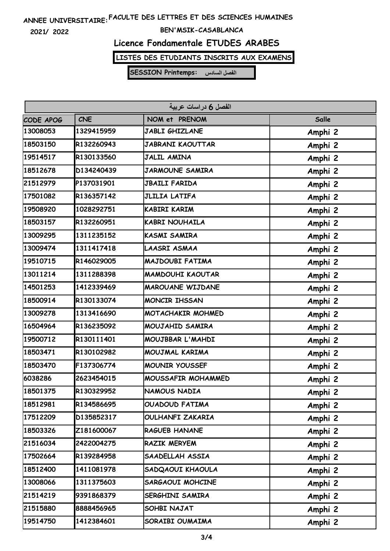**2021/ 2022**

#### **BEN'MSIK-CASABLANCA**

# **Licence Fondamentale ETUDES ARABES**

**LISTES DES ETUDIANTS INSCRITS AUX EXAMENS**

| الفصل 6 دراسات عربية |            |                         |         |  |  |
|----------------------|------------|-------------------------|---------|--|--|
| CODE APOG            | <b>CNE</b> | NOM et PRENOM           | Salle   |  |  |
| 13008053             | 1329415959 | <b>JABLI GHIZLANE</b>   | Amphi 2 |  |  |
| 18503150             | R132260943 | <b>JABRANI KAOUTTAR</b> | Amphi 2 |  |  |
| 19514517             | R130133560 | <b>JALIL AMINA</b>      | Amphi 2 |  |  |
| 18512678             | D134240439 | <b>JARMOUNE SAMIRA</b>  | Amphi 2 |  |  |
| 21512979             | P137031901 | <b>JBAILI FARIDA</b>    | Amphi 2 |  |  |
| 17501082             | R136357142 | <b>JLILIA LATIFA</b>    | Amphi 2 |  |  |
| 19508920             | 1028292751 | KABIRI KARIM            | Amphi 2 |  |  |
| 18503157             | R132260951 | <b>KABRI NOUHAILA</b>   | Amphi 2 |  |  |
| 13009295             | 1311235152 | <b>KASMI SAMIRA</b>     | Amphi 2 |  |  |
| 13009474             | 1311417418 | LAASRI ASMAA            | Amphi 2 |  |  |
| 19510715             | R146029005 | MAJDOUBI FATIMA         | Amphi 2 |  |  |
| 13011214             | 1311288398 | <b>MAMDOUHI KAOUTAR</b> | Amphi 2 |  |  |
| 14501253             | 1412339469 | <b>MAROUANE WIJDANE</b> | Amphi 2 |  |  |
| 18500914             | R130133074 | <b>MONCIR IHSSAN</b>    | Amphi 2 |  |  |
| 13009278             | 1313416690 | MOTACHAKIR MOHMED       | Amphi 2 |  |  |
| 16504964             | R136235092 | MOUJAHID SAMIRA         | Amphi 2 |  |  |
| 19500712             | R130111401 | MOUJBBAR L'MAHDI        | Amphi 2 |  |  |
| 18503471             | R130102982 | MOUJMAL KARIMA          | Amphi 2 |  |  |
| 18503470             | F137306774 | <b>MOUNIR YOUSSEF</b>   | Amphi 2 |  |  |
| 6038286              | 2623454015 | MOUSSAFIR MOHAMMED      | Amphi 2 |  |  |
| 18501375             | R130329952 | NAMOUS NADIA            | Amphi 2 |  |  |
| 18512981             | R134586695 | <b>OUADOUD FATIMA</b>   | Amphi 2 |  |  |
| 17512209             | D135852317 | OULHANFI ZAKARIA        | Amphi 2 |  |  |
| 18503326             | Z181600067 | <b>RAGUEB HANANE</b>    | Amphi 2 |  |  |
| 21516034             | 2422004275 | RAZIK MERYEM            | Amphi 2 |  |  |
| 17502664             | R139284958 | SAADELLAH ASSIA         | Amphi 2 |  |  |
| 18512400             | 1411081978 | SADQAOUI KHAOULA        | Amphi 2 |  |  |
| 13008066             | 1311375603 | SARGAOUI MOHCINE        | Amphi 2 |  |  |
| 21514219             | 9391868379 | SERGHINI SAMIRA         | Amphi 2 |  |  |
| 21515880             | 8888456965 | SOHBI NAJAT             | Amphi 2 |  |  |
| 19514750             | 1412384601 | SORAIBI OUMAIMA         | Amphi 2 |  |  |